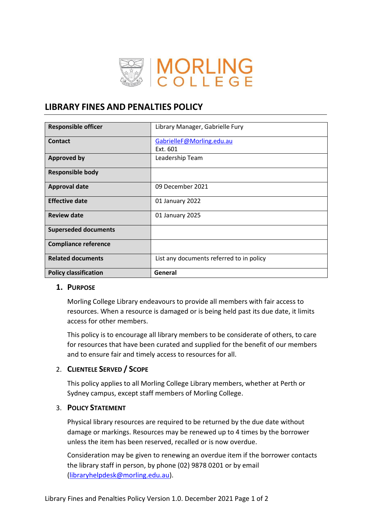

# **LIBRARY FINES AND PENALTIES POLICY**

| <b>Responsible officer</b>   | Library Manager, Gabrielle Fury          |  |  |  |
|------------------------------|------------------------------------------|--|--|--|
| Contact                      | GabrielleF@Morling.edu.au                |  |  |  |
|                              | Ext. 601                                 |  |  |  |
| <b>Approved by</b>           | Leadership Team                          |  |  |  |
| <b>Responsible body</b>      |                                          |  |  |  |
| <b>Approval date</b>         | 09 December 2021                         |  |  |  |
| <b>Effective date</b>        | 01 January 2022                          |  |  |  |
| <b>Review date</b>           | 01 January 2025                          |  |  |  |
| <b>Superseded documents</b>  |                                          |  |  |  |
| <b>Compliance reference</b>  |                                          |  |  |  |
| <b>Related documents</b>     | List any documents referred to in policy |  |  |  |
| <b>Policy classification</b> | General                                  |  |  |  |

## **1. PURPOSE**

Morling College Library endeavours to provide all members with fair access to resources. When a resource is damaged or is being held past its due date, it limits access for other members.

This policy is to encourage all library members to be considerate of others, to care for resources that have been curated and supplied for the benefit of our members and to ensure fair and timely access to resources for all.

## 2. **CLIENTELE SERVED / SCOPE**

This policy applies to all Morling College Library members, whether at Perth or Sydney campus, except staff members of Morling College.

## 3. **POLICY STATEMENT**

Physical library resources are required to be returned by the due date without damage or markings. Resources may be renewed up to 4 times by the borrower unless the item has been reserved, recalled or is now overdue.

Consideration may be given to renewing an overdue item if the borrower contacts the library staff in person, by phone (02) 9878 0201 or by email [\(libraryhelpdesk@morling.edu.au\)](mailto:libraryhelpdesk@morling.edu.au).